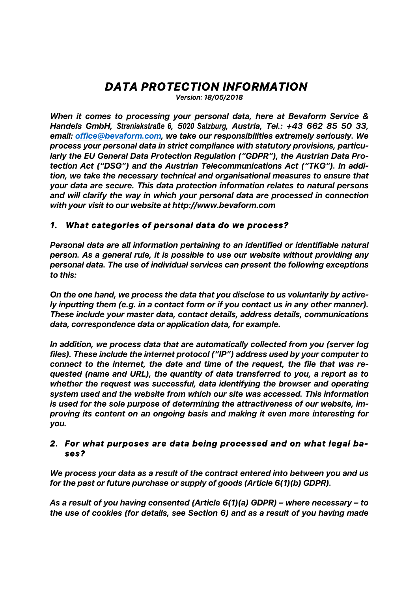# *DATA PROTECTION INFORMATION*

*Version: 18/05/2018*

*When it comes to processing your personal data, here at Bevaform Service & Handels GmbH, Straniakstraße 6, 5020 Salzburg, Austria, Tel.: +43 662 85 50 33, email: office@bevaform.com, we take our responsibilities extremely seriously. We process your personal data in strict compliance with statutory provisions, particularly the EU General Data Protection Regulation ("GDPR"), the Austrian Data Protection Act ("DSG") and the Austrian Telecommunications Act ("TKG"). In addition, we take the necessary technical and organisational measures to ensure that your data are secure. This data protection information relates to natural persons and will clarify the way in which your personal data are processed in connection with your visit to our website at http://www.bevaform.com* 

# *1. What categories of personal data do we process?*

*Personal data are all information pertaining to an identified or identifiable natural person. As a general rule, it is possible to use our website without providing any personal data. The use of individual services can present the following exceptions to this:* 

*On the one hand, we process the data that you disclose to us voluntarily by actively inputting them (e.g. in a contact form or if you contact us in any other manner). These include your master data, contact details, address details, communications data, correspondence data or application data, for example.* 

*In addition, we process data that are automatically collected from you (server log files). These include the internet protocol ("IP") address used by your computer to connect to the internet, the date and time of the request, the file that was requested (name and URL), the quantity of data transferred to you, a report as to whether the request was successful, data identifying the browser and operating system used and the website from which our site was accessed. This information is used for the sole purpose of determining the attractiveness of our website, improving its content on an ongoing basis and making it even more interesting for you.* 

# *2. For what purposes are data being processed and on what legal bases?*

*We process your data as a result of the contract entered into between you and us for the past or future purchase or supply of goods (Article 6(1)(b) GDPR).* 

*As a result of you having consented (Article 6(1)(a) GDPR) – where necessary – to the use of cookies (for details, see Section 6) and as a result of you having made*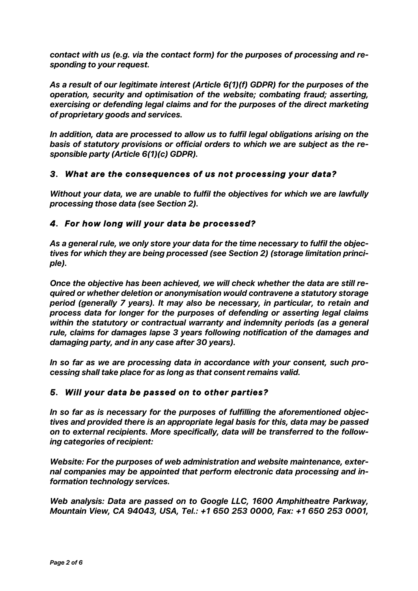*contact with us (e.g. via the contact form) for the purposes of processing and responding to your request.* 

*As a result of our legitimate interest (Article 6(1)(f) GDPR) for the purposes of the operation, security and optimisation of the website; combating fraud; asserting, exercising or defending legal claims and for the purposes of the direct marketing of proprietary goods and services.* 

*In addition, data are processed to allow us to fulfil legal obligations arising on the basis of statutory provisions or official orders to which we are subject as the responsible party (Article 6(1)(c) GDPR).*

# *3. What are the consequences of us not processing your data?*

*Without your data, we are unable to fulfil the objectives for which we are lawfully processing those data (see Section 2).*

# *4. For how long will your data be processed?*

*As a general rule, we only store your data for the time necessary to fulfil the objectives for which they are being processed (see Section 2) (storage limitation principle).* 

*Once the objective has been achieved, we will check whether the data are still required or whether deletion or anonymisation would contravene a statutory storage period (generally 7 years). It may also be necessary, in particular, to retain and process data for longer for the purposes of defending or asserting legal claims within the statutory or contractual warranty and indemnity periods (as a general rule, claims for damages lapse 3 years following notification of the damages and damaging party, and in any case after 30 years).* 

*In so far as we are processing data in accordance with your consent, such processing shall take place for as long as that consent remains valid.*

# *5. Will your data be passed on to other parties?*

*In so far as is necessary for the purposes of fulfilling the aforementioned objectives and provided there is an appropriate legal basis for this, data may be passed on to external recipients. More specifically, data will be transferred to the following categories of recipient:* 

*Website: For the purposes of web administration and website maintenance, external companies may be appointed that perform electronic data processing and information technology services.* 

*Web analysis: Data are passed on to Google LLC, 1600 Amphitheatre Parkway, Mountain View, CA 94043, USA, Tel.: +1 650 253 0000, Fax: +1 650 253 0001,*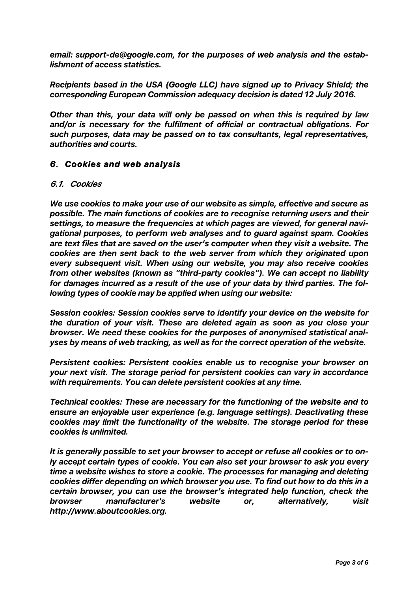*email: support-de@google.com, for the purposes of web analysis and the establishment of access statistics.*

*Recipients based in the USA (Google LLC) have signed up to Privacy Shield; the corresponding European Commission adequacy decision is dated 12 July 2016.*

*Other than this, your data will only be passed on when this is required by law and/or is necessary for the fulfilment of official or contractual obligations. For such purposes, data may be passed on to tax consultants, legal representatives, authorities and courts.*

# *6. Cookies and web analysis*

#### *6.1. Cookies*

*We use cookies to make your use of our website as simple, effective and secure as possible. The main functions of cookies are to recognise returning users and their settings, to measure the frequencies at which pages are viewed, for general navigational purposes, to perform web analyses and to guard against spam. Cookies are text files that are saved on the user's computer when they visit a website. The cookies are then sent back to the web server from which they originated upon every subsequent visit. When using our website, you may also receive cookies from other websites (known as "third-party cookies"). We can accept no liability for damages incurred as a result of the use of your data by third parties. The following types of cookie may be applied when using our website:* 

*Session cookies: Session cookies serve to identify your device on the website for the duration of your visit. These are deleted again as soon as you close your browser. We need these cookies for the purposes of anonymised statistical analyses by means of web tracking, as well as for the correct operation of the website.* 

*Persistent cookies: Persistent cookies enable us to recognise your browser on your next visit. The storage period for persistent cookies can vary in accordance with requirements. You can delete persistent cookies at any time.* 

*Technical cookies: These are necessary for the functioning of the website and to ensure an enjoyable user experience (e.g. language settings). Deactivating these cookies may limit the functionality of the website. The storage period for these cookies is unlimited.*

*It is generally possible to set your browser to accept or refuse all cookies or to only accept certain types of cookie. You can also set your browser to ask you every time a website wishes to store a cookie. The processes for managing and deleting cookies differ depending on which browser you use. To find out how to do this in a certain browser, you can use the browser's integrated help function, check the browser manufacturer's website or, alternatively, visit http://www.aboutcookies.org.*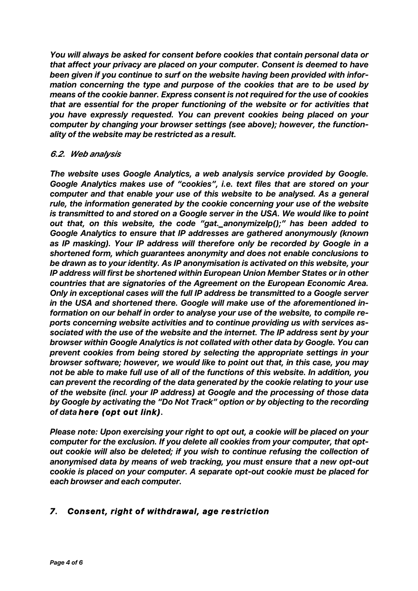*You will always be asked for consent before cookies that contain personal data or that affect your privacy are placed on your computer. Consent is deemed to have been given if you continue to surf on the website having been provided with information concerning the type and purpose of the cookies that are to be used by means of the cookie banner. Express consent is not required for the use of cookies that are essential for the proper functioning of the website or for activities that you have expressly requested. You can prevent cookies being placed on your computer by changing your browser settings (see above); however, the functionality of the website may be restricted as a result.*

#### *6.2. Web analysis*

*The website uses Google Analytics, a web analysis service provided by Google. Google Analytics makes use of "cookies", i.e. text files that are stored on your computer and that enable your use of this website to be analysed. As a general rule, the information generated by the cookie concerning your use of the website is transmitted to and stored on a Google server in the USA. We would like to point out that, on this website, the code "gat.\_anonymizeIp();" has been added to Google Analytics to ensure that IP addresses are gathered anonymously (known as IP masking). Your IP address will therefore only be recorded by Google in a shortened form, which guarantees anonymity and does not enable conclusions to be drawn as to your identity. As IP anonymisation is activated on this website, your IP address will first be shortened within European Union Member States or in other countries that are signatories of the Agreement on the European Economic Area. Only in exceptional cases will the full IP address be transmitted to a Google server in the USA and shortened there. Google will make use of the aforementioned information on our behalf in order to analyse your use of the website, to compile reports concerning website activities and to continue providing us with services associated with the use of the website and the internet. The IP address sent by your browser within Google Analytics is not collated with other data by Google. You can prevent cookies from being stored by selecting the appropriate settings in your browser software; however, we would like to point out that, in this case, you may not be able to make full use of all of the functions of this website. In addition, you can prevent the recording of the data generated by the cookie relating to your use of the website (incl. your IP address) at Google and the processing of those data by Google by activating the "Do Not Track" option or by objecting to the recording of data here (opt out link).* 

*Please note: Upon exercising your right to opt out, a cookie will be placed on your computer for the exclusion. If you delete all cookies from your computer, that optout cookie will also be deleted; if you wish to continue refusing the collection of anonymised data by means of web tracking, you must ensure that a new opt-out cookie is placed on your computer. A separate opt-out cookie must be placed for each browser and each computer.*

# *7. Consent, right of withdrawal, age restriction*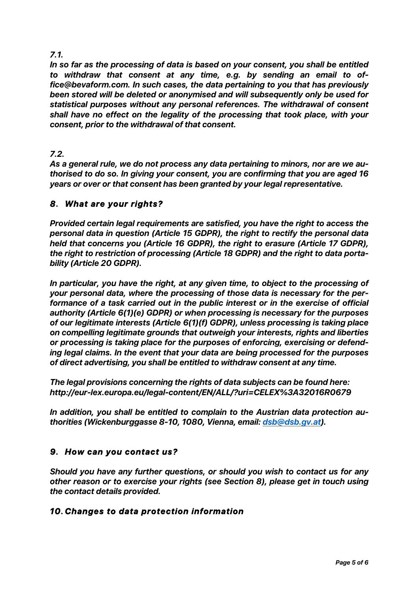# *7.1.*

*In so far as the processing of data is based on your consent, you shall be entitled to withdraw that consent at any time, e.g. by sending an email to office@bevaform.com. In such cases, the data pertaining to you that has previously been stored will be deleted or anonymised and will subsequently only be used for statistical purposes without any personal references. The withdrawal of consent shall have no effect on the legality of the processing that took place, with your consent, prior to the withdrawal of that consent.*

# *7.2.*

*As a general rule, we do not process any data pertaining to minors, nor are we authorised to do so. In giving your consent, you are confirming that you are aged 16 years or over or that consent has been granted by your legal representative.*

# *8. What are your rights?*

*Provided certain legal requirements are satisfied, you have the right to access the personal data in question (Article 15 GDPR), the right to rectify the personal data held that concerns you (Article 16 GDPR), the right to erasure (Article 17 GDPR), the right to restriction of processing (Article 18 GDPR) and the right to data portability (Article 20 GDPR).*

*In particular, you have the right, at any given time, to object to the processing of your personal data, where the processing of those data is necessary for the performance of a task carried out in the public interest or in the exercise of official authority (Article 6(1)(e) GDPR) or when processing is necessary for the purposes of our legitimate interests (Article 6(1)(f) GDPR), unless processing is taking place on compelling legitimate grounds that outweigh your interests, rights and liberties or processing is taking place for the purposes of enforcing, exercising or defending legal claims. In the event that your data are being processed for the purposes of direct advertising, you shall be entitled to withdraw consent at any time.*

*The legal provisions concerning the rights of data subjects can be found here: http://eur-lex.europa.eu/legal-content/EN/ALL/?uri=CELEX%3A32016R0679*

*In addition, you shall be entitled to complain to the Austrian data protection authorities (Wickenburggasse 8-10, 1080, Vienna, email: dsb@dsb.gv.at).*

# *9. How can you contact us?*

*Should you have any further questions, or should you wish to contact us for any other reason or to exercise your rights (see Section 8), please get in touch using the contact details provided.*

# *10. Changes to data protection information*